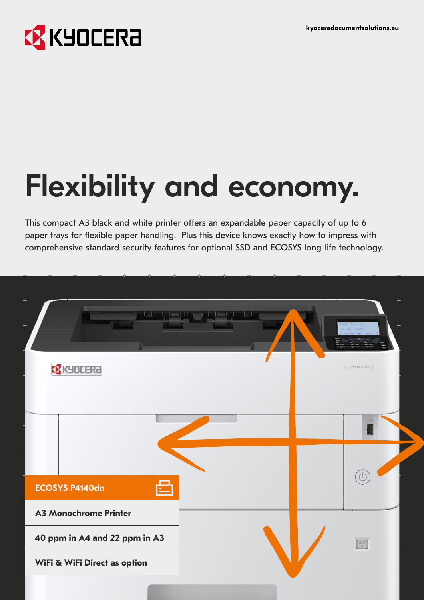# **EX KYOCERA**

# Flexibility and economy.

This compact A3 black and white printer offers an expandable paper capacity of up to 6 paper trays for flexible paper handling. Plus this device knows exactly how to impress with comprehensive standard security features for optional SSD and ECOSYS long-life technology.